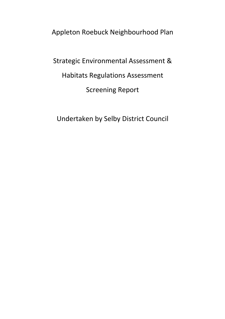Appleton Roebuck Neighbourhood Plan

Strategic Environmental Assessment & Habitats Regulations Assessment Screening Report

Undertaken by Selby District Council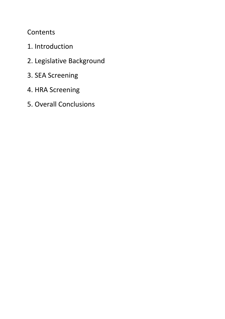**Contents** 

- 1. Introduction
- 2. Legislative Background
- 3. SEA Screening
- 4. HRA Screening
- 5. Overall Conclusions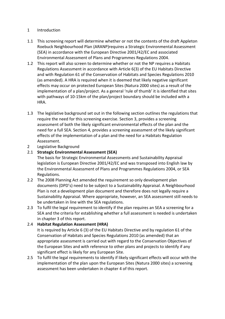## 1 Introduction

- 1.1 This screening report will determine whether or not the contents of the draft Appleton Roebuck Neighbourhood Plan (ARANP)requires a Strategic Environmental Assessment (SEA) in accordance with the European Directive 2001/42/EC and associated Environmental Assessment of Plans and Programmes Regulations 2004.
- 1.2 This report will also screen to determine whether or not the NP requires a Habitats Regulations Assessment in accordance with Article 6(3) of the EU Habitats Directive and with Regulation 61 of the Conservation of Habitats and Species Regulations 2010 (as amended). A HRA is required when it is deemed that likely negative significant effects may occur on protected European Sites (Natura 2000 sites) as a result of the implementation of a plan/project. As a general 'rule of thumb' it is identified that sites with pathways of 10-15km of the plan/project boundary should be included with a HRA.
- 1.3 The legislative background set out in the following section outlines the regulations that require the need for this screening exercise. Section 3, provides a screening assessment of both the likely significant environmental effects of the plan and the need for a full SEA. Section 4, provides a screening assessment of the likely significant effects of the implementation of a plan and the need for a Habitats Regulation Assessment.
- 2 Legislative Background

# 2.1 Strategic Environmental Assessment (SEA)

The basis for Strategic Environmental Assessments and Sustainability Appraisal legislation is European Directive 2001/42/EC and was transposed into English law by the Environmental Assessment of Plans and Programmes Regulations 2004, or SEA Regulations.

- 2.2 The 2008 Planning Act amended the requirement so only development plan documents (DPD's) need to be subject to a Sustainability Appraisal. A Neighbourhood Plan is not a development plan document and therefore does not legally require a Sustainability Appraisal. Where appropriate, however, an SEA assessment still needs to be undertaken in line with the SEA regulations.
- 2.3 To fulfil the legal requirement to identify if the plan requires an SEA a screening for a SEA and the criteria for establishing whether a full assessment is needed is undertaken in chapter 3 of this report.

# 2.4 Habitat Regulation Assessment (HRA)

It is required by Article 6 (3) of the EU Habitats Directive and by regulation 61 of the Conservation of Habitats and Species Regulations 2010 (as amended) that an appropriate assessment is carried out with regard to the Conservation Objectives of the European Sites and with reference to other plans and projects to identify if any significant effect is likely for any European Site.

2.5 To fulfil the legal requirements to identify if likely significant effects will occur with the implementation of the plan upon the European Sites (Natura 2000 sites) a screening assessment has been undertaken in chapter 4 of this report.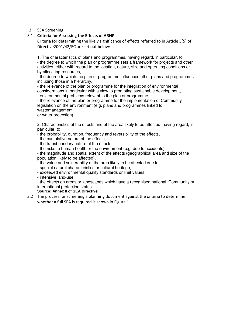### 3 SEA Screening

### 3.1 Criteria for Assessing the Effects of ARNP

Criteria for determining the likely significance of effects referred to in Article 3(5) of Directive2001/42/EC are set out below:

1. The characteristics of plans and programmes, having regard, in particular, to - the degree to which the plan or programme sets a framework for projects and other

activities, either with regard to the location, nature, size and operating conditions or by allocating resources,

- the degree to which the plan or programme influences other plans and programmes including those in a hierarchy,

- the relevance of the plan or programme for the integration of environmental considerations in particular with a view to promoting sustainable development,

- environmental problems relevant to the plan or programme,

- the relevance of the plan or programme for the implementation of Community legislation on the environment (e.g. plans and programmes linked to wastemanagement

or water protection).

2. Characteristics of the effects and of the area likely to be affected, having regard, in particular, to

- the probability, duration, frequency and reversibility of the effects,

- the cumulative nature of the effects,
- the transboundary nature of the effects,

- the risks to human health or the environment (e.g. due to accidents),

- the magnitude and spatial extent of the effects (geographical area and size of the population likely to be affected),

- the value and vulnerability of the area likely to be affected due to:

- special natural characteristics or cultural heritage,
- exceeded environmental quality standards or limit values,

- intensive land-use,

- the effects on areas or landscapes which have a recognised national, Community or international protection status.

#### **Source: Annex II of SEA Directive**

3.2 The process for screening a planning document against the criteria to determine whether a full SEA is required is shown in Figure 1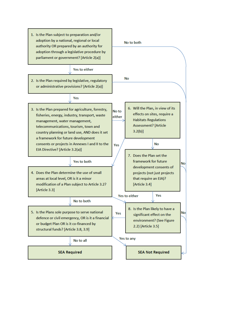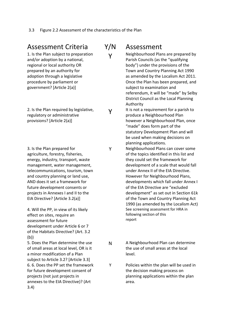3.3 Figure 2.2 Assessment of the characteristics of the Plan

Y

Y

# Assessment Criteria Y/N Assessment

1. Is the Plan subject to preparation and/or adoption by a national, regional or local authority OR prepared by an authority for adoption through a legislative procedure by parliament or government? [Article 2(a)]

2. Is the Plan required by legislative, regulatory or administrative provisions? [Article 2(a)]

3. Is the Plan prepared for agriculture, forestry, fisheries, energy, industry, transport, waste management, water management, telecommunications, tourism, town and country planning or land use, AND does it set a framework for future development consents or projects in Annexes I and II to the EIA Directive? [Article 3.2(a)]

4. Will the PP, in view of its likely effect on sites, require an assessment for future development under Article 6 or 7 of the Habitats Directive? (Art. 3.2 (b))

5. Does the Plan determine the use of small areas at local level, OR is it a minor modification of a Plan subject to Article 3.2? [Article 3.3] 6. 6. Does the PP set the framework for future development consent of projects (not just projects in annexes to the EIA Directive)? (Art 3.4)

Neighbourhood Plans are prepared by Parish Councils (as the "qualifying body") under the provisions of the Town and Country Planning Act 1990 as amended by the Localism Act 2011. Once the Plan has been prepared, and subject to examination and referendum, it will be "made" by Selby District Council as the Local Planning Authority It is not a requirement for a parish to produce a Neighbourhood Plan however a Neighbourhood Plan, once "made" does form part of the statutory Development Plan and will be used when making decisions on planning applications. Y Neighbourhood Plans can cover some of the topics identified in this list and they could set the framework for development of a scale that would fall under Annex II of the EIA Directive. However for Neighbourhood Plans, developments which fall under Annex I of the EIA Directive are "excluded development" as set out in Section 61k of the Town and Country Planning Act 1990 (as amended by the Localism Act) See screening assessment for HRA in following section of this report

- N A Neighbourhood Plan can determine the use of small areas at the local level.
- Y Policies within the plan will be used in the decision making process on planning applications within the plan area.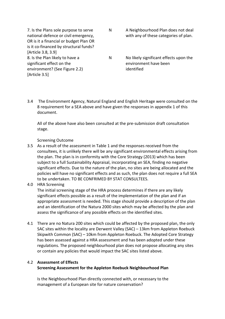7. Is the Plans sole purpose to serve national defence or civil emergency, OR is it a financial or budget Plan OR is it co-financed by structural funds? [Article 3.8, 3.9] 8. Is the Plan likely to have a significant effect on the environment? (See Figure 2.2) [Article 3.5]

- N A Neighbourhood Plan does not deal with any of these categories of plan.
- N No likely significant effects upon the environment have been identified
- 3.4 The Environment Agency, Natural England and English Heritage were consulted on the 8 requirement for a SEA above and have given the responses in appendix 1 of this document.

All of the above have also been consulted at the pre-submission draft consultation stage.

Screening Outcome

- 3.5 As a result of the assessment in Table 1 and the responses received from the consultees, it is unlikely there will be any significant environmental effects arising from the plan. The plan is in conformity with the Core Strategy (2013) which has been subject to a full Sustainability Appraisal, incorporating an SEA, finding no negative significant effects. Due to the nature of the plan, no sites are being allocated and the policies will have no significant effects and as such, the plan does not require a full SEA to be undertaken. TO BE CONFRIMED BY STAT CONSULTEES.
- 4.0 HRA Screening

The initial screening stage of the HRA process determines if there are any likely significant effects possible as a result of the implementation of the plan and if an appropriate assessment is needed. This stage should provide a description of the plan and an identification of the Natura 2000 sites which may be affected by the plan and assess the significance of any possible effects on the identified sites.

4.1 There are no Natura 200 sites which could be affected by the proposed plan, the only SAC sites within the locality are Derwent Valley (SAC) – 13km from Appleton Roebuck Skipwith Common (SAC) – 10km from Appleton Roebuck. The Adopted Core Strategy has been assessed against a HRA assessment and has been adopted under these regulations. The proposed neighbourhood plan does not propose allocating any sites or contain any policies that would impact the SAC sites listed above.

# 4.2 Assessment of Effects Screening Assessment for the Appleton Roebuck Neighbourhood Plan

Is the Neighbourhood Plan directly connected with, or necessary to the management of a European site for nature conservation?